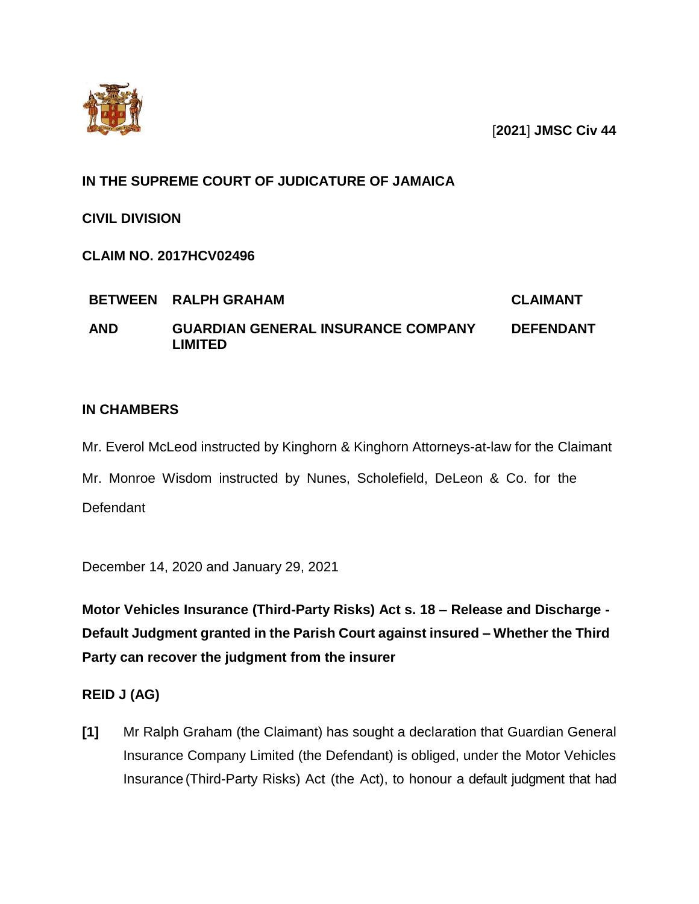

[**2021**] **JMSC Civ 44**

### **IN THE SUPREME COURT OF JUDICATURE OF JAMAICA**

**CIVIL DIVISION**

**CLAIM NO. 2017HCV02496**

|            | BETWEEN RALPH GRAHAM                                 | CLAIMANT         |
|------------|------------------------------------------------------|------------------|
| <b>AND</b> | <b>GUARDIAN GENERAL INSURANCE COMPANY</b><br>∟IMITED | <b>DEFENDANT</b> |

## **IN CHAMBERS**

Mr. Everol McLeod instructed by Kinghorn & Kinghorn Attorneys-at-law for the Claimant Mr. Monroe Wisdom instructed by Nunes, Scholefield, DeLeon & Co. for the **Defendant** 

December 14, 2020 and January 29, 2021

**Motor Vehicles Insurance (Third-Party Risks) Act s. 18 – Release and Discharge - Default Judgment granted in the Parish Court against insured – Whether the Third Party can recover the judgment from the insurer**

## **REID J (AG)**

**[1]** Mr Ralph Graham (the Claimant) has sought a declaration that Guardian General Insurance Company Limited (the Defendant) is obliged, under the Motor Vehicles Insurance (Third-Party Risks) Act (the Act), to honour a default judgment that had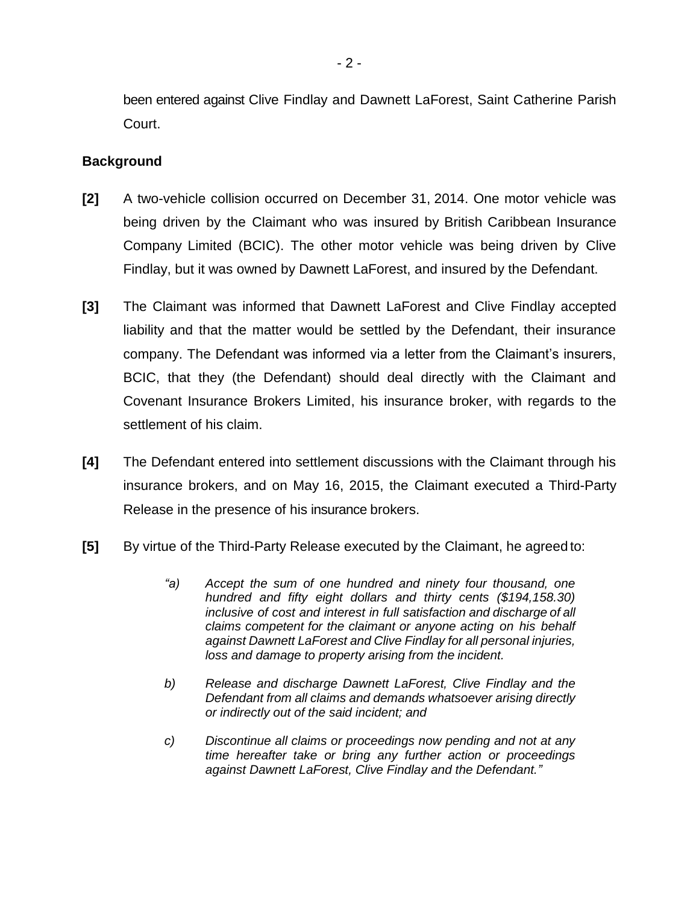been entered against Clive Findlay and Dawnett LaForest, Saint Catherine Parish Court.

#### **Background**

- **[2]** A two-vehicle collision occurred on December 31, 2014. One motor vehicle was being driven by the Claimant who was insured by British Caribbean Insurance Company Limited (BCIC). The other motor vehicle was being driven by Clive Findlay, but it was owned by Dawnett LaForest, and insured by the Defendant.
- **[3]** The Claimant was informed that Dawnett LaForest and Clive Findlay accepted liability and that the matter would be settled by the Defendant, their insurance company. The Defendant was informed via a letter from the Claimant's insurers, BCIC, that they (the Defendant) should deal directly with the Claimant and Covenant Insurance Brokers Limited, his insurance broker, with regards to the settlement of his claim.
- **[4]** The Defendant entered into settlement discussions with the Claimant through his insurance brokers, and on May 16, 2015, the Claimant executed a Third-Party Release in the presence of his insurance brokers.
- **[5]** By virtue of the Third-Party Release executed by the Claimant, he agreed to:
	- *"a) Accept the sum of one hundred and ninety four thousand, one hundred and fifty eight dollars and thirty cents (\$194,158.30) inclusive of cost and interest in full satisfaction and discharge of all claims competent for the claimant or anyone acting on his behalf against Dawnett LaForest and Clive Findlay for all personal injuries, loss and damage to property arising from the incident.*
	- *b) Release and discharge Dawnett LaForest, Clive Findlay and the Defendant from all claims and demands whatsoever arising directly or indirectly out of the said incident; and*
	- *c) Discontinue all claims or proceedings now pending and not at any time hereafter take or bring any further action or proceedings against Dawnett LaForest, Clive Findlay and the Defendant."*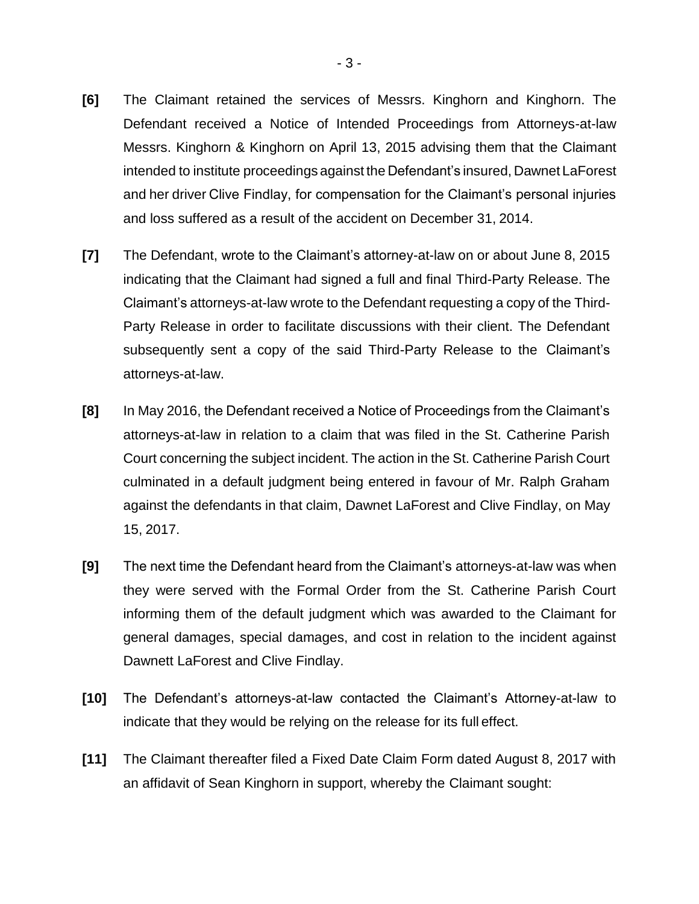- **[6]** The Claimant retained the services of Messrs. Kinghorn and Kinghorn. The Defendant received a Notice of Intended Proceedings from Attorneys-at-law Messrs. Kinghorn & Kinghorn on April 13, 2015 advising them that the Claimant intended to institute proceedings against the Defendant's insured, Dawnet LaForest and her driver Clive Findlay, for compensation for the Claimant's personal injuries and loss suffered as a result of the accident on December 31, 2014.
- **[7]** The Defendant, wrote to the Claimant's attorney-at-law on or about June 8, 2015 indicating that the Claimant had signed a full and final Third-Party Release. The Claimant's attorneys-at-law wrote to the Defendant requesting a copy of the Third-Party Release in order to facilitate discussions with their client. The Defendant subsequently sent a copy of the said Third-Party Release to the Claimant's attorneys-at-law.
- **[8]** In May 2016, the Defendant received a Notice of Proceedings from the Claimant's attorneys-at-law in relation to a claim that was filed in the St. Catherine Parish Court concerning the subject incident. The action in the St. Catherine Parish Court culminated in a default judgment being entered in favour of Mr. Ralph Graham against the defendants in that claim, Dawnet LaForest and Clive Findlay, on May 15, 2017.
- **[9]** The next time the Defendant heard from the Claimant's attorneys-at-law was when they were served with the Formal Order from the St. Catherine Parish Court informing them of the default judgment which was awarded to the Claimant for general damages, special damages, and cost in relation to the incident against Dawnett LaForest and Clive Findlay.
- **[10]** The Defendant's attorneys-at-law contacted the Claimant's Attorney-at-law to indicate that they would be relying on the release for its full effect.
- **[11]** The Claimant thereafter filed a Fixed Date Claim Form dated August 8, 2017 with an affidavit of Sean Kinghorn in support, whereby the Claimant sought: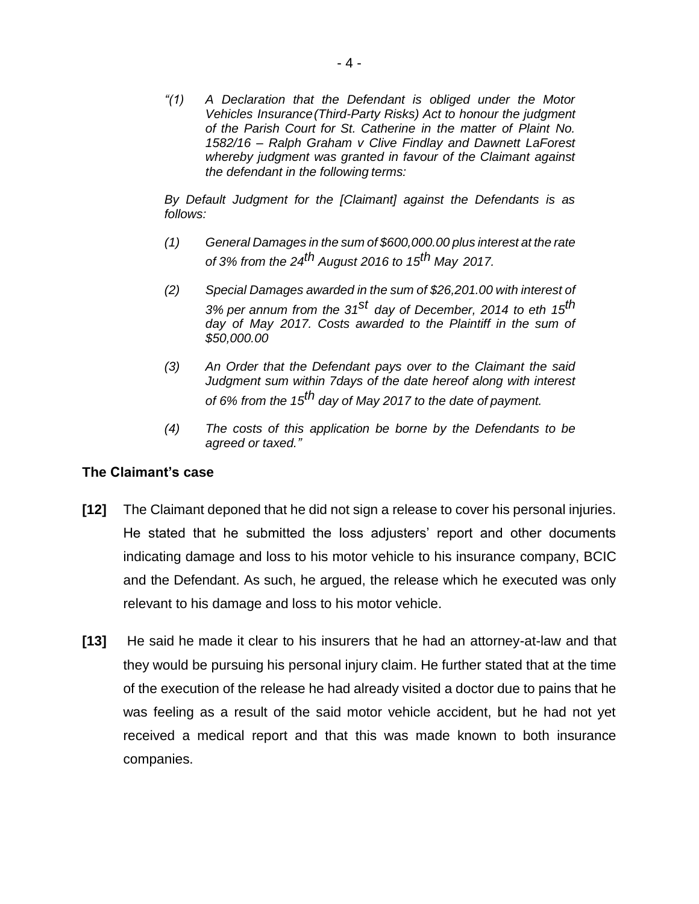*"(1) A Declaration that the Defendant is obliged under the Motor Vehicles Insurance(Third-Party Risks) Act to honour the judgment of the Parish Court for St. Catherine in the matter of Plaint No. 1582/16 – Ralph Graham v Clive Findlay and Dawnett LaForest whereby judgment was granted in favour of the Claimant against the defendant in the following terms:*

*By Default Judgment for the [Claimant] against the Defendants is as follows:*

- *(1) General Damages in the sum of \$600,000.00 plus interest at the rate of 3% from the 24th August 2016 to 15th May 2017.*
- *(2) Special Damages awarded in the sum of \$26,201.00 with interest of 3% per annum from the 31st day of December, 2014 to eth 15th day of May 2017. Costs awarded to the Plaintiff in the sum of \$50,000.00*
- *(3) An Order that the Defendant pays over to the Claimant the said Judgment sum within 7days of the date hereof along with interest of 6% from the 15th day of May 2017 to the date of payment.*
- *(4) The costs of this application be borne by the Defendants to be agreed or taxed."*

#### **The Claimant's case**

- **[12]** The Claimant deponed that he did not sign a release to cover his personal injuries. He stated that he submitted the loss adjusters' report and other documents indicating damage and loss to his motor vehicle to his insurance company, BCIC and the Defendant. As such, he argued, the release which he executed was only relevant to his damage and loss to his motor vehicle.
- **[13]** He said he made it clear to his insurers that he had an attorney-at-law and that they would be pursuing his personal injury claim. He further stated that at the time of the execution of the release he had already visited a doctor due to pains that he was feeling as a result of the said motor vehicle accident, but he had not yet received a medical report and that this was made known to both insurance companies.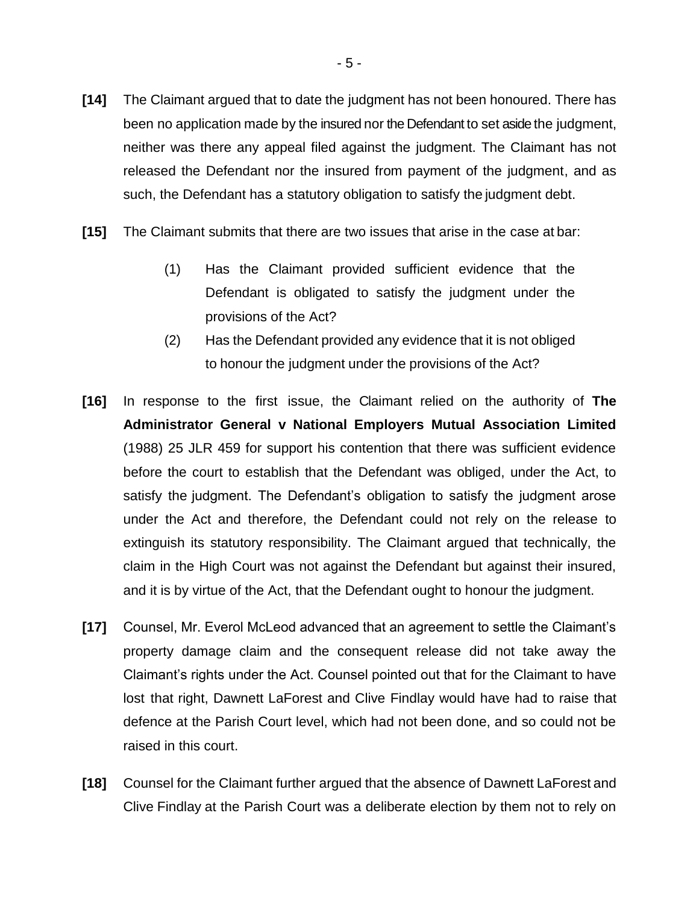- **[14]** The Claimant argued that to date the judgment has not been honoured. There has been no application made by the insured nor the Defendant to set aside the judgment, neither was there any appeal filed against the judgment. The Claimant has not released the Defendant nor the insured from payment of the judgment, and as such, the Defendant has a statutory obligation to satisfy the judgment debt.
- **[15]** The Claimant submits that there are two issues that arise in the case at bar:
	- (1) Has the Claimant provided sufficient evidence that the Defendant is obligated to satisfy the judgment under the provisions of the Act?
	- (2) Has the Defendant provided any evidence that it is not obliged to honour the judgment under the provisions of the Act?
- **[16]** In response to the first issue, the Claimant relied on the authority of **The Administrator General v National Employers Mutual Association Limited**  (1988) 25 JLR 459 for support his contention that there was sufficient evidence before the court to establish that the Defendant was obliged, under the Act, to satisfy the judgment. The Defendant's obligation to satisfy the judgment arose under the Act and therefore, the Defendant could not rely on the release to extinguish its statutory responsibility. The Claimant argued that technically, the claim in the High Court was not against the Defendant but against their insured, and it is by virtue of the Act, that the Defendant ought to honour the judgment.
- **[17]** Counsel, Mr. Everol McLeod advanced that an agreement to settle the Claimant's property damage claim and the consequent release did not take away the Claimant's rights under the Act. Counsel pointed out that for the Claimant to have lost that right, Dawnett LaForest and Clive Findlay would have had to raise that defence at the Parish Court level, which had not been done, and so could not be raised in this court.
- **[18]** Counsel for the Claimant further argued that the absence of Dawnett LaForest and Clive Findlay at the Parish Court was a deliberate election by them not to rely on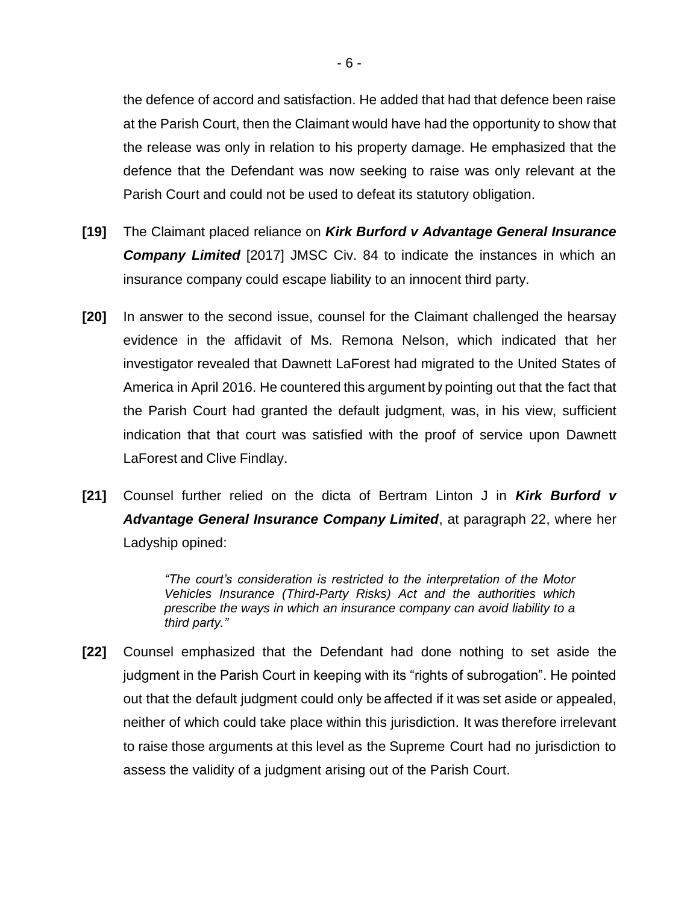the defence of accord and satisfaction. He added that had that defence been raise at the Parish Court, then the Claimant would have had the opportunity to show that the release was only in relation to his property damage. He emphasized that the defence that the Defendant was now seeking to raise was only relevant at the Parish Court and could not be used to defeat its statutory obligation.

- **[19]** The Claimant placed reliance on *Kirk Burford v Advantage General Insurance Company Limited* [2017] JMSC Civ. 84 to indicate the instances in which an insurance company could escape liability to an innocent third party.
- **[20]** In answer to the second issue, counsel for the Claimant challenged the hearsay evidence in the affidavit of Ms. Remona Nelson, which indicated that her investigator revealed that Dawnett LaForest had migrated to the United States of America in April 2016. He countered this argument by pointing out that the fact that the Parish Court had granted the default judgment, was, in his view, sufficient indication that that court was satisfied with the proof of service upon Dawnett LaForest and Clive Findlay.
- **[21]** Counsel further relied on the dicta of Bertram Linton J in *Kirk Burford v Advantage General Insurance Company Limited*, at paragraph 22, where her Ladyship opined:

*"The court's consideration is restricted to the interpretation of the Motor Vehicles Insurance (Third-Party Risks) Act and the authorities which prescribe the ways in which an insurance company can avoid liability to a third party."* 

**[22]** Counsel emphasized that the Defendant had done nothing to set aside the judgment in the Parish Court in keeping with its "rights of subrogation". He pointed out that the default judgment could only be affected if it was set aside or appealed, neither of which could take place within this jurisdiction. It was therefore irrelevant to raise those arguments at this level as the Supreme Court had no jurisdiction to assess the validity of a judgment arising out of the Parish Court.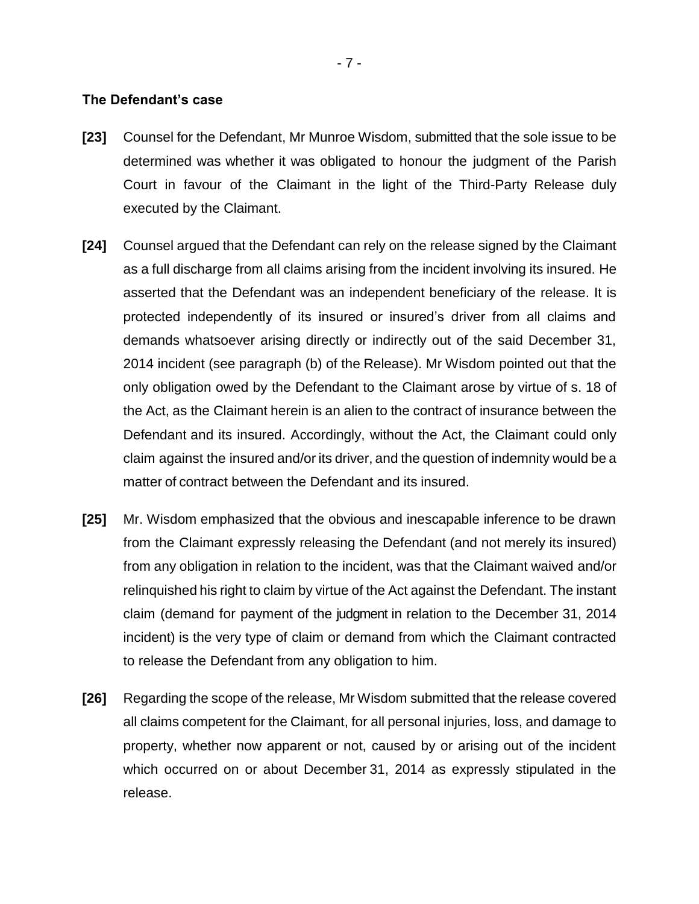#### **The Defendant's case**

- **[23]** Counsel for the Defendant, Mr Munroe Wisdom, submitted that the sole issue to be determined was whether it was obligated to honour the judgment of the Parish Court in favour of the Claimant in the light of the Third-Party Release duly executed by the Claimant.
- **[24]** Counsel argued that the Defendant can rely on the release signed by the Claimant as a full discharge from all claims arising from the incident involving its insured. He asserted that the Defendant was an independent beneficiary of the release. It is protected independently of its insured or insured's driver from all claims and demands whatsoever arising directly or indirectly out of the said December 31, 2014 incident (see paragraph (b) of the Release). Mr Wisdom pointed out that the only obligation owed by the Defendant to the Claimant arose by virtue of s. 18 of the Act, as the Claimant herein is an alien to the contract of insurance between the Defendant and its insured. Accordingly, without the Act, the Claimant could only claim against the insured and/or its driver, and the question of indemnity would be a matter of contract between the Defendant and its insured.
- **[25]** Mr. Wisdom emphasized that the obvious and inescapable inference to be drawn from the Claimant expressly releasing the Defendant (and not merely its insured) from any obligation in relation to the incident, was that the Claimant waived and/or relinquished his right to claim by virtue of the Act against the Defendant. The instant claim (demand for payment of the judgment in relation to the December 31, 2014 incident) is the very type of claim or demand from which the Claimant contracted to release the Defendant from any obligation to him.
- **[26]** Regarding the scope of the release, Mr Wisdom submitted that the release covered all claims competent for the Claimant, for all personal injuries, loss, and damage to property, whether now apparent or not, caused by or arising out of the incident which occurred on or about December 31, 2014 as expressly stipulated in the release.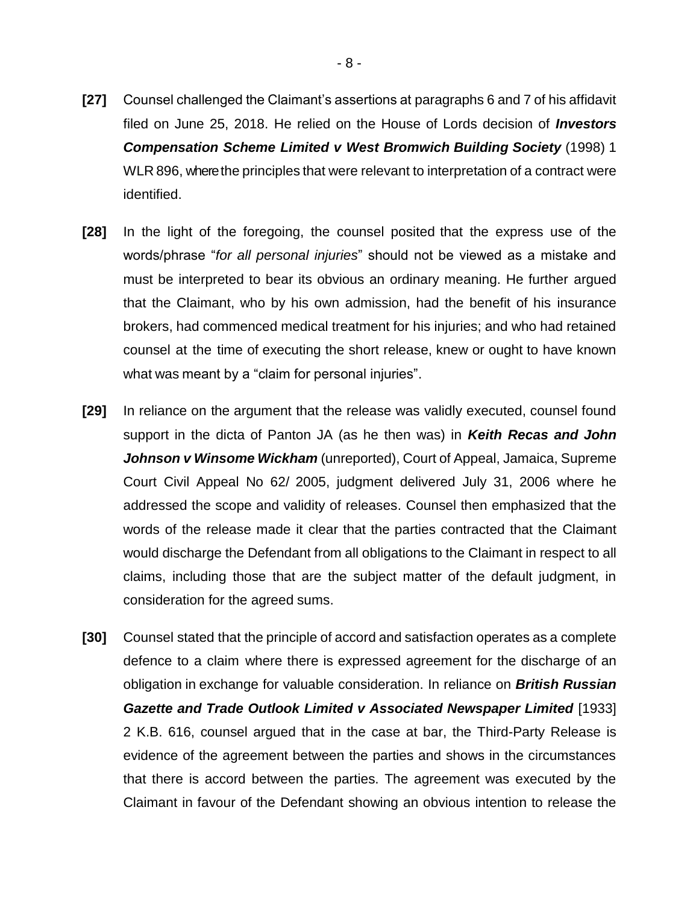- **[27]** Counsel challenged the Claimant's assertions at paragraphs 6 and 7 of his affidavit filed on June 25, 2018. He relied on the House of Lords decision of *Investors Compensation Scheme Limited v West Bromwich Building Society* (1998) 1 WLR 896, where the principles that were relevant to interpretation of a contract were identified.
- **[28]** In the light of the foregoing, the counsel posited that the express use of the words/phrase "*for all personal injuries*" should not be viewed as a mistake and must be interpreted to bear its obvious an ordinary meaning. He further argued that the Claimant, who by his own admission, had the benefit of his insurance brokers, had commenced medical treatment for his injuries; and who had retained counsel at the time of executing the short release, knew or ought to have known what was meant by a "claim for personal injuries".
- **[29]** In reliance on the argument that the release was validly executed, counsel found support in the dicta of Panton JA (as he then was) in *Keith Recas and John Johnson v Winsome Wickham* (unreported), Court of Appeal, Jamaica, Supreme Court Civil Appeal No 62/ 2005, judgment delivered July 31, 2006 where he addressed the scope and validity of releases. Counsel then emphasized that the words of the release made it clear that the parties contracted that the Claimant would discharge the Defendant from all obligations to the Claimant in respect to all claims, including those that are the subject matter of the default judgment, in consideration for the agreed sums.
- **[30]** Counsel stated that the principle of accord and satisfaction operates as a complete defence to a claim where there is expressed agreement for the discharge of an obligation in exchange for valuable consideration. In reliance on *British Russian*  **Gazette and Trade Outlook Limited v Associated Newspaper Limited [1933]** 2 K.B. 616, counsel argued that in the case at bar, the Third-Party Release is evidence of the agreement between the parties and shows in the circumstances that there is accord between the parties. The agreement was executed by the Claimant in favour of the Defendant showing an obvious intention to release the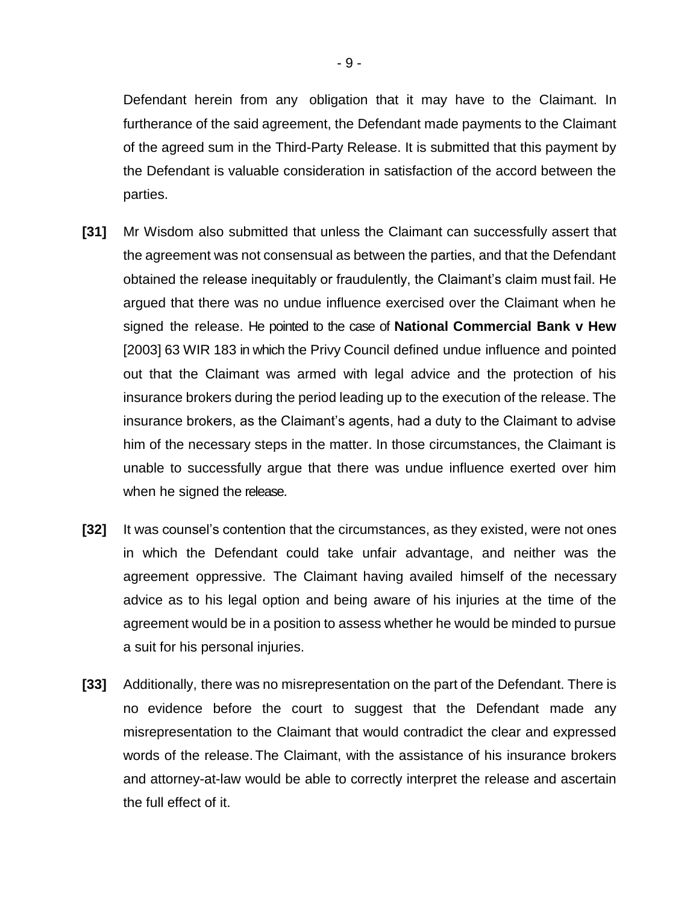Defendant herein from any obligation that it may have to the Claimant. In furtherance of the said agreement, the Defendant made payments to the Claimant of the agreed sum in the Third-Party Release. It is submitted that this payment by the Defendant is valuable consideration in satisfaction of the accord between the parties.

- **[31]** Mr Wisdom also submitted that unless the Claimant can successfully assert that the agreement was not consensual as between the parties, and that the Defendant obtained the release inequitably or fraudulently, the Claimant's claim must fail. He argued that there was no undue influence exercised over the Claimant when he signed the release. He pointed to the case of **National Commercial Bank v Hew** [2003] 63 WIR 183 in which the Privy Council defined undue influence and pointed out that the Claimant was armed with legal advice and the protection of his insurance brokers during the period leading up to the execution of the release. The insurance brokers, as the Claimant's agents, had a duty to the Claimant to advise him of the necessary steps in the matter. In those circumstances, the Claimant is unable to successfully argue that there was undue influence exerted over him when he signed the release.
- **[32]** It was counsel's contention that the circumstances, as they existed, were not ones in which the Defendant could take unfair advantage, and neither was the agreement oppressive. The Claimant having availed himself of the necessary advice as to his legal option and being aware of his injuries at the time of the agreement would be in a position to assess whether he would be minded to pursue a suit for his personal injuries.
- **[33]** Additionally, there was no misrepresentation on the part of the Defendant. There is no evidence before the court to suggest that the Defendant made any misrepresentation to the Claimant that would contradict the clear and expressed words of the release.The Claimant, with the assistance of his insurance brokers and attorney-at-law would be able to correctly interpret the release and ascertain the full effect of it.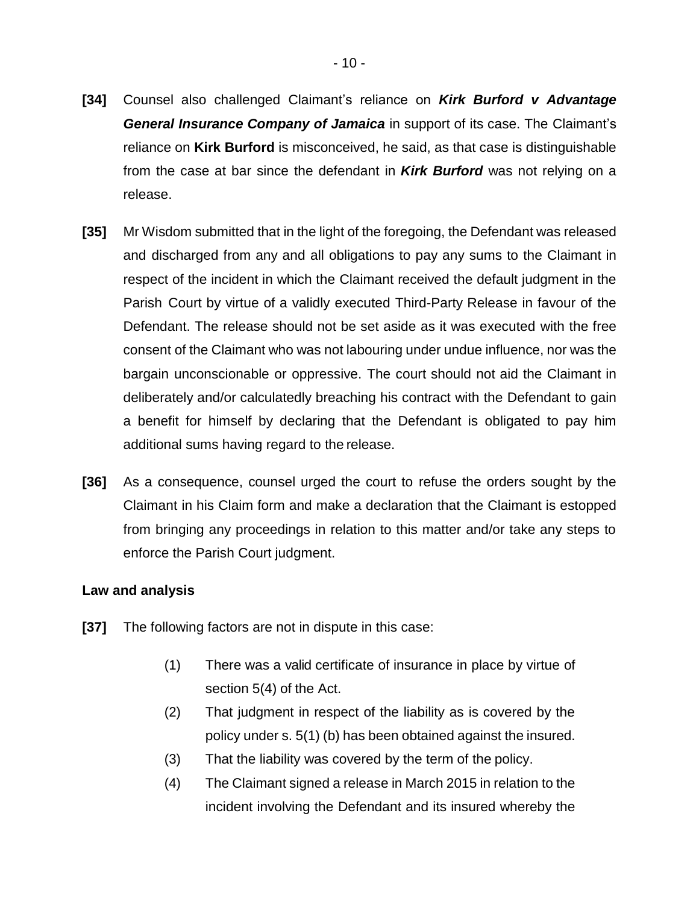- **[34]** Counsel also challenged Claimant's reliance on *Kirk Burford v Advantage General Insurance Company of Jamaica* in support of its case. The Claimant's reliance on **Kirk Burford** is misconceived, he said, as that case is distinguishable from the case at bar since the defendant in *Kirk Burford* was not relying on a release.
- **[35]** Mr Wisdom submitted that in the light of the foregoing, the Defendant was released and discharged from any and all obligations to pay any sums to the Claimant in respect of the incident in which the Claimant received the default judgment in the Parish Court by virtue of a validly executed Third-Party Release in favour of the Defendant. The release should not be set aside as it was executed with the free consent of the Claimant who was not labouring under undue influence, nor was the bargain unconscionable or oppressive. The court should not aid the Claimant in deliberately and/or calculatedly breaching his contract with the Defendant to gain a benefit for himself by declaring that the Defendant is obligated to pay him additional sums having regard to the release.
- **[36]** As a consequence, counsel urged the court to refuse the orders sought by the Claimant in his Claim form and make a declaration that the Claimant is estopped from bringing any proceedings in relation to this matter and/or take any steps to enforce the Parish Court judgment.

### **Law and analysis**

- **[37]** The following factors are not in dispute in this case:
	- (1) There was a valid certificate of insurance in place by virtue of section 5(4) of the Act.
	- (2) That judgment in respect of the liability as is covered by the policy under s. 5(1) (b) has been obtained against the insured.
	- (3) That the liability was covered by the term of the policy.
	- (4) The Claimant signed a release in March 2015 in relation to the incident involving the Defendant and its insured whereby the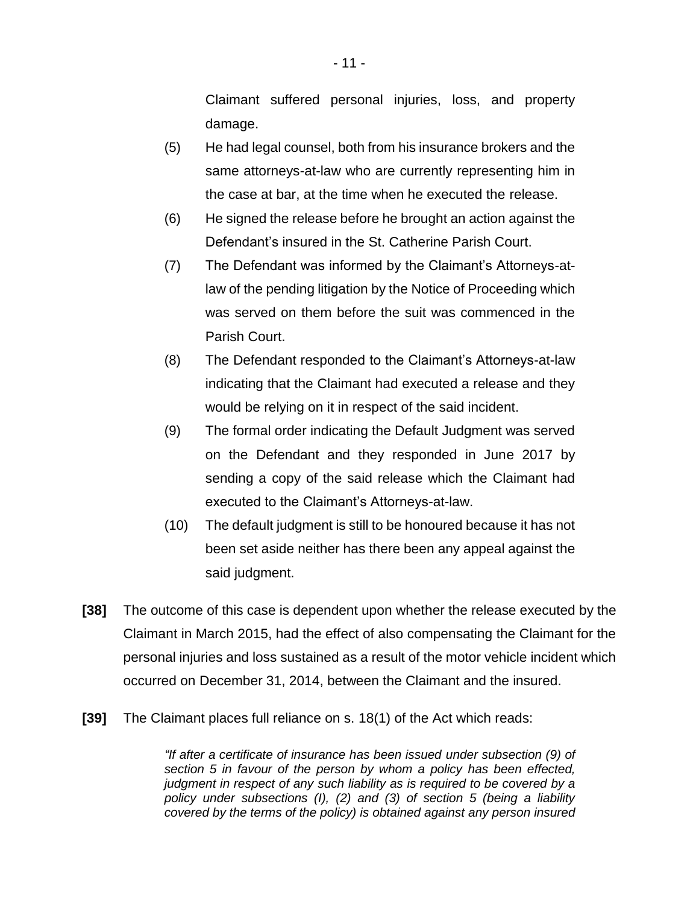Claimant suffered personal injuries, loss, and property damage.

- (5) He had legal counsel, both from his insurance brokers and the same attorneys-at-law who are currently representing him in the case at bar, at the time when he executed the release.
- (6) He signed the release before he brought an action against the Defendant's insured in the St. Catherine Parish Court.
- (7) The Defendant was informed by the Claimant's Attorneys-atlaw of the pending litigation by the Notice of Proceeding which was served on them before the suit was commenced in the Parish Court.
- (8) The Defendant responded to the Claimant's Attorneys-at-law indicating that the Claimant had executed a release and they would be relying on it in respect of the said incident.
- (9) The formal order indicating the Default Judgment was served on the Defendant and they responded in June 2017 by sending a copy of the said release which the Claimant had executed to the Claimant's Attorneys-at-law.
- (10) The default judgment is still to be honoured because it has not been set aside neither has there been any appeal against the said judgment.
- **[38]** The outcome of this case is dependent upon whether the release executed by the Claimant in March 2015, had the effect of also compensating the Claimant for the personal injuries and loss sustained as a result of the motor vehicle incident which occurred on December 31, 2014, between the Claimant and the insured.
- **[39]** The Claimant places full reliance on s. 18(1) of the Act which reads:

*"If after a certificate of insurance has been issued under subsection (9) of section 5 in favour of the person by whom a policy has been effected, judgment in respect of any such liability as is required to be covered by a policy under subsections (I), (2) and (3) of section 5 (being a liability covered by the terms of the policy) is obtained against any person insured*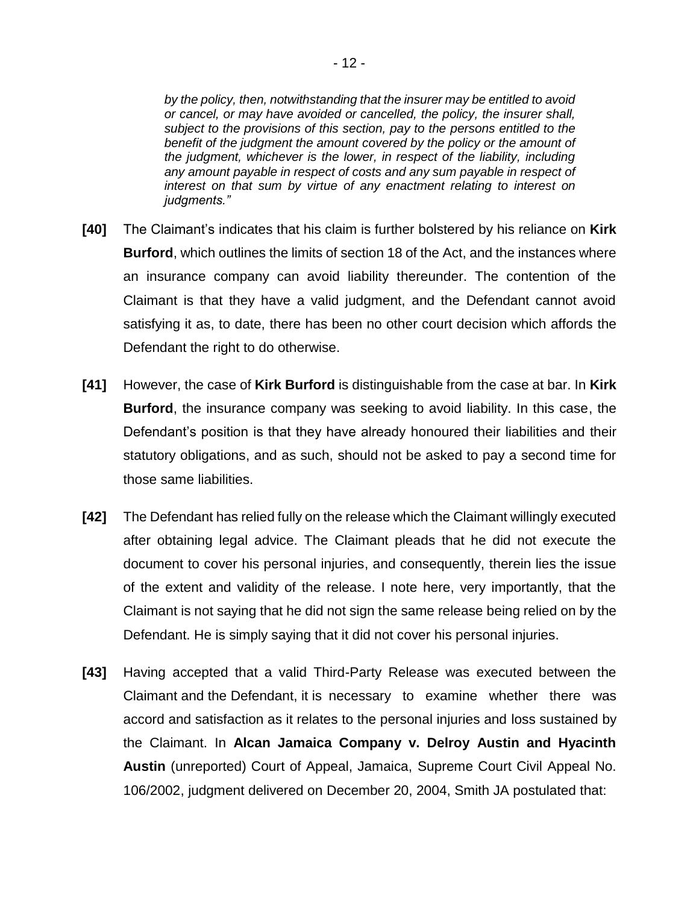*by the policy, then, notwithstanding that the insurer may be entitled to avoid or cancel, or may have avoided or cancelled, the policy, the insurer shall, subject to the provisions of this section, pay to the persons entitled to the benefit of the judgment the amount covered by the policy or the amount of the judgment, whichever is the lower, in respect of the liability, including any amount payable in respect of costs and any sum payable in respect of interest on that sum by virtue of any enactment relating to interest on judgments."*

- **[40]** The Claimant's indicates that his claim is further bolstered by his reliance on **Kirk Burford**, which outlines the limits of section 18 of the Act, and the instances where an insurance company can avoid liability thereunder. The contention of the Claimant is that they have a valid judgment, and the Defendant cannot avoid satisfying it as, to date, there has been no other court decision which affords the Defendant the right to do otherwise.
- **[41]** However, the case of **Kirk Burford** is distinguishable from the case at bar. In **Kirk Burford**, the insurance company was seeking to avoid liability. In this case, the Defendant's position is that they have already honoured their liabilities and their statutory obligations, and as such, should not be asked to pay a second time for those same liabilities.
- **[42]** The Defendant has relied fully on the release which the Claimant willingly executed after obtaining legal advice. The Claimant pleads that he did not execute the document to cover his personal injuries, and consequently, therein lies the issue of the extent and validity of the release. I note here, very importantly, that the Claimant is not saying that he did not sign the same release being relied on by the Defendant. He is simply saying that it did not cover his personal injuries.
- **[43]** Having accepted that a valid Third-Party Release was executed between the Claimant and the Defendant, it is necessary to examine whether there was accord and satisfaction as it relates to the personal injuries and loss sustained by the Claimant. In **Alcan Jamaica Company v. Delroy Austin and Hyacinth Austin** (unreported) Court of Appeal, Jamaica, Supreme Court Civil Appeal No. 106/2002, judgment delivered on December 20, 2004, Smith JA postulated that: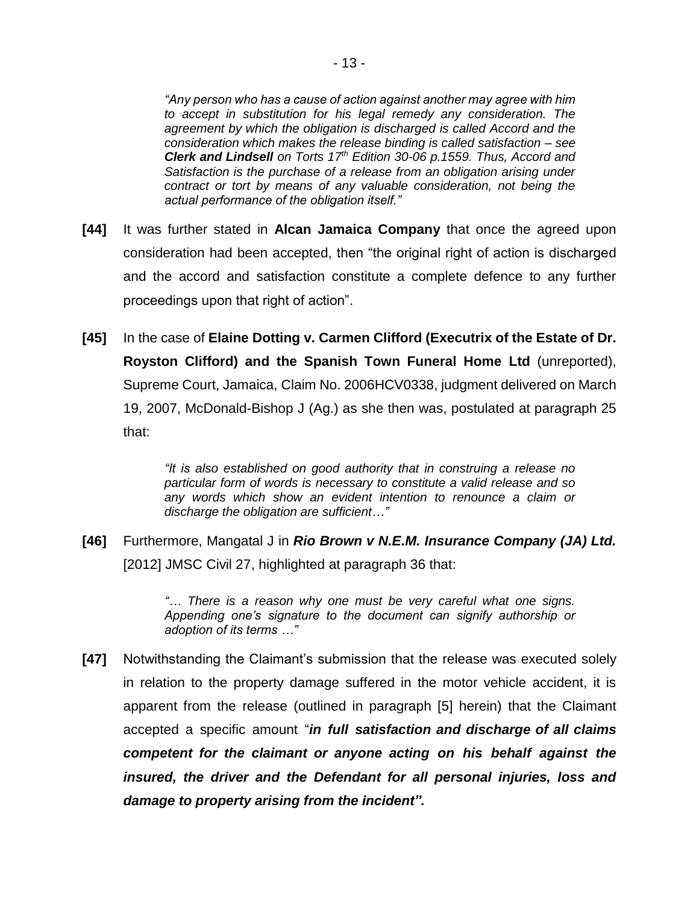*"Any person who has a cause of action against another may agree with him to accept in substitution for his legal remedy any consideration. The agreement by which the obligation is discharged is called Accord and the consideration which makes the release binding is called satisfaction – see Clerk and Lindsell on Torts 17th Edition 30-06 p.1559. Thus, Accord and Satisfaction is the purchase of a release from an obligation arising under contract or tort by means of any valuable consideration, not being the actual performance of the obligation itself."* 

- **[44]** It was further stated in **Alcan Jamaica Company** that once the agreed upon consideration had been accepted, then "the original right of action is discharged and the accord and satisfaction constitute a complete defence to any further proceedings upon that right of action".
- **[45]** In the case of **Elaine Dotting v. Carmen Clifford (Executrix of the Estate of Dr. Royston Clifford) and the Spanish Town Funeral Home Ltd** (unreported), Supreme Court, Jamaica, Claim No. 2006HCV0338, judgment delivered on March 19, 2007, McDonald-Bishop J (Ag.) as she then was, postulated at paragraph 25 that:

*"It is also established on good authority that in construing a release no particular form of words is necessary to constitute a valid release and so any words which show an evident intention to renounce a claim or discharge the obligation are sufficient…"*

**[46]** Furthermore, Mangatal J in *Rio Brown v N.E.M. Insurance Company (JA) Ltd.* [2012] JMSC Civil 27, highlighted at paragraph 36 that:

> *"… There is a reason why one must be very careful what one signs. Appending one's signature to the document can signify authorship or adoption of its terms …"*

**[47]** Notwithstanding the Claimant's submission that the release was executed solely in relation to the property damage suffered in the motor vehicle accident, it is apparent from the release (outlined in paragraph [5] herein) that the Claimant accepted a specific amount "*in full satisfaction and discharge of all claims competent for the claimant or anyone acting on his behalf against the insured, the driver and the Defendant for all personal injuries, loss and damage to property arising from the incident".*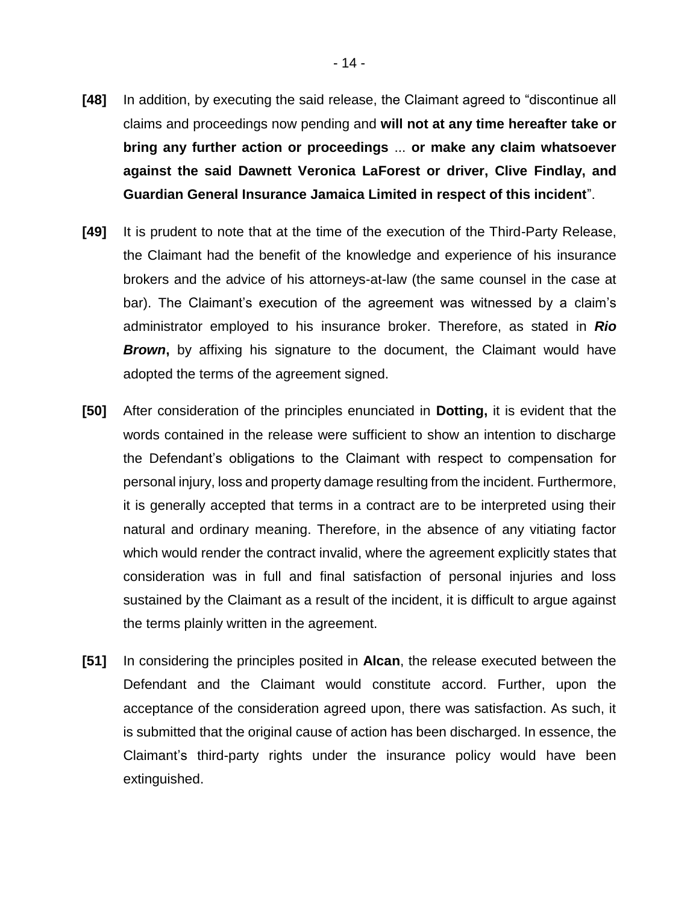- **[48]** In addition, by executing the said release, the Claimant agreed to "discontinue all claims and proceedings now pending and **will not at any time hereafter take or bring any further action or proceedings** ... **or make any claim whatsoever against the said Dawnett Veronica LaForest or driver, Clive Findlay, and Guardian General Insurance Jamaica Limited in respect of this incident**".
- **[49]** It is prudent to note that at the time of the execution of the Third-Party Release, the Claimant had the benefit of the knowledge and experience of his insurance brokers and the advice of his attorneys-at-law (the same counsel in the case at bar). The Claimant's execution of the agreement was witnessed by a claim's administrator employed to his insurance broker. Therefore, as stated in *Rio*  **Brown**, by affixing his signature to the document, the Claimant would have adopted the terms of the agreement signed.
- **[50]** After consideration of the principles enunciated in **Dotting,** it is evident that the words contained in the release were sufficient to show an intention to discharge the Defendant's obligations to the Claimant with respect to compensation for personal injury, loss and property damage resulting from the incident. Furthermore, it is generally accepted that terms in a contract are to be interpreted using their natural and ordinary meaning. Therefore, in the absence of any vitiating factor which would render the contract invalid, where the agreement explicitly states that consideration was in full and final satisfaction of personal injuries and loss sustained by the Claimant as a result of the incident, it is difficult to argue against the terms plainly written in the agreement.
- **[51]** In considering the principles posited in **Alcan**, the release executed between the Defendant and the Claimant would constitute accord. Further, upon the acceptance of the consideration agreed upon, there was satisfaction. As such, it is submitted that the original cause of action has been discharged. In essence, the Claimant's third-party rights under the insurance policy would have been extinguished.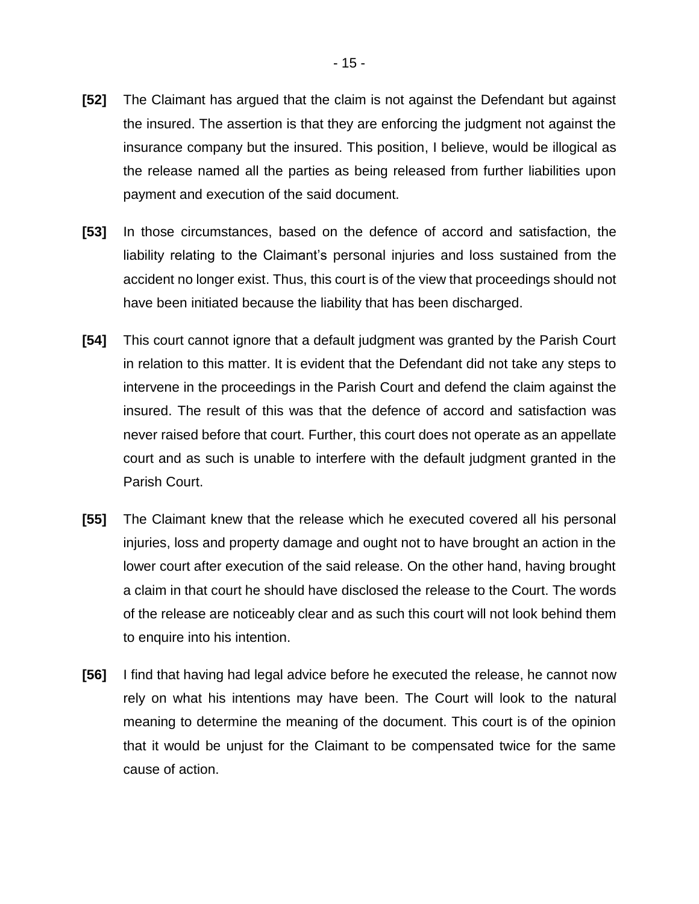- **[52]** The Claimant has argued that the claim is not against the Defendant but against the insured. The assertion is that they are enforcing the judgment not against the insurance company but the insured. This position, I believe, would be illogical as the release named all the parties as being released from further liabilities upon payment and execution of the said document.
- **[53]** In those circumstances, based on the defence of accord and satisfaction, the liability relating to the Claimant's personal injuries and loss sustained from the accident no longer exist. Thus, this court is of the view that proceedings should not have been initiated because the liability that has been discharged.
- **[54]** This court cannot ignore that a default judgment was granted by the Parish Court in relation to this matter. It is evident that the Defendant did not take any steps to intervene in the proceedings in the Parish Court and defend the claim against the insured. The result of this was that the defence of accord and satisfaction was never raised before that court. Further, this court does not operate as an appellate court and as such is unable to interfere with the default judgment granted in the Parish Court.
- **[55]** The Claimant knew that the release which he executed covered all his personal injuries, loss and property damage and ought not to have brought an action in the lower court after execution of the said release. On the other hand, having brought a claim in that court he should have disclosed the release to the Court. The words of the release are noticeably clear and as such this court will not look behind them to enquire into his intention.
- **[56]** I find that having had legal advice before he executed the release, he cannot now rely on what his intentions may have been. The Court will look to the natural meaning to determine the meaning of the document. This court is of the opinion that it would be unjust for the Claimant to be compensated twice for the same cause of action.